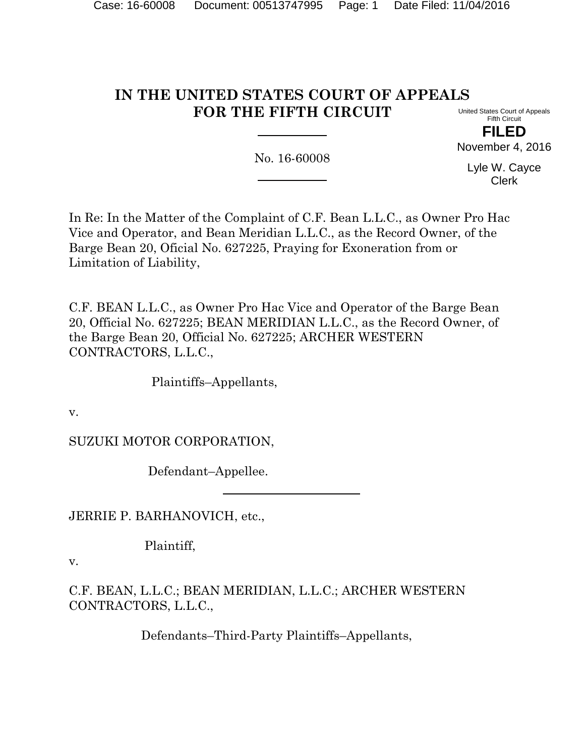# **IN THE UNITED STATES COURT OF APPEALS FOR THE FIFTH CIRCUIT**

United States Court of Appeals Fifth Circuit **FILED**

No. 16-60008

Lyle W. Cayce Clerk

November 4, 2016

In Re: In the Matter of the Complaint of C.F. Bean L.L.C., as Owner Pro Hac Vice and Operator, and Bean Meridian L.L.C., as the Record Owner, of the Barge Bean 20, Oficial No. 627225, Praying for Exoneration from or Limitation of Liability,

C.F. BEAN L.L.C., as Owner Pro Hac Vice and Operator of the Barge Bean 20, Official No. 627225; BEAN MERIDIAN L.L.C., as the Record Owner, of the Barge Bean 20, Official No. 627225; ARCHER WESTERN CONTRACTORS, L.L.C.,

Plaintiffs–Appellants,

v.

SUZUKI MOTOR CORPORATION,

Defendant–Appellee.

JERRIE P. BARHANOVICH, etc.,

Plaintiff,

v.

C.F. BEAN, L.L.C.; BEAN MERIDIAN, L.L.C.; ARCHER WESTERN CONTRACTORS, L.L.C.,

Defendants–Third-Party Plaintiffs–Appellants,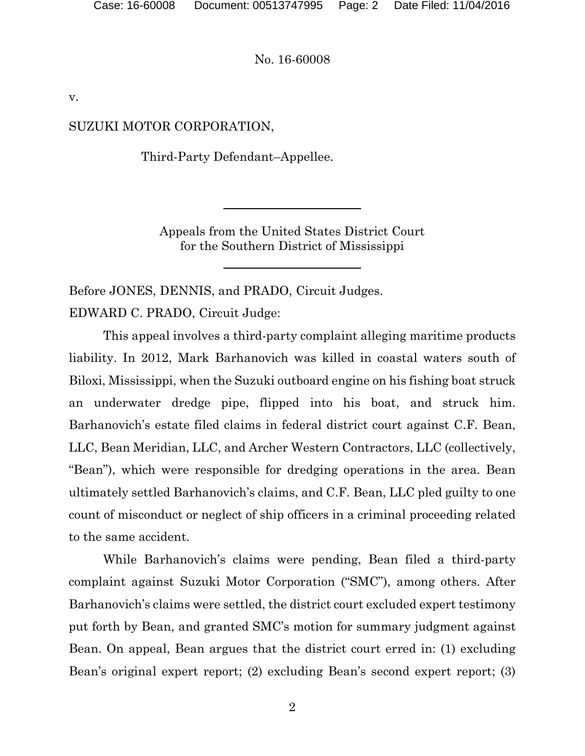v.

## SUZUKI MOTOR CORPORATION,

Third-Party Defendant–Appellee.

Appeals from the United States District Court for the Southern District of Mississippi

Before JONES, DENNIS, and PRADO, Circuit Judges. EDWARD C. PRADO, Circuit Judge:

This appeal involves a third-party complaint alleging maritime products liability. In 2012, Mark Barhanovich was killed in coastal waters south of Biloxi, Mississippi, when the Suzuki outboard engine on his fishing boat struck an underwater dredge pipe, flipped into his boat, and struck him. Barhanovich's estate filed claims in federal district court against C.F. Bean, LLC, Bean Meridian, LLC, and Archer Western Contractors, LLC (collectively, "Bean"), which were responsible for dredging operations in the area. Bean ultimately settled Barhanovich's claims, and C.F. Bean, LLC pled guilty to one count of misconduct or neglect of ship officers in a criminal proceeding related to the same accident.

While Barhanovich's claims were pending, Bean filed a third-party complaint against Suzuki Motor Corporation ("SMC"), among others. After Barhanovich's claims were settled, the district court excluded expert testimony put forth by Bean, and granted SMC's motion for summary judgment against Bean. On appeal, Bean argues that the district court erred in: (1) excluding Bean's original expert report; (2) excluding Bean's second expert report; (3)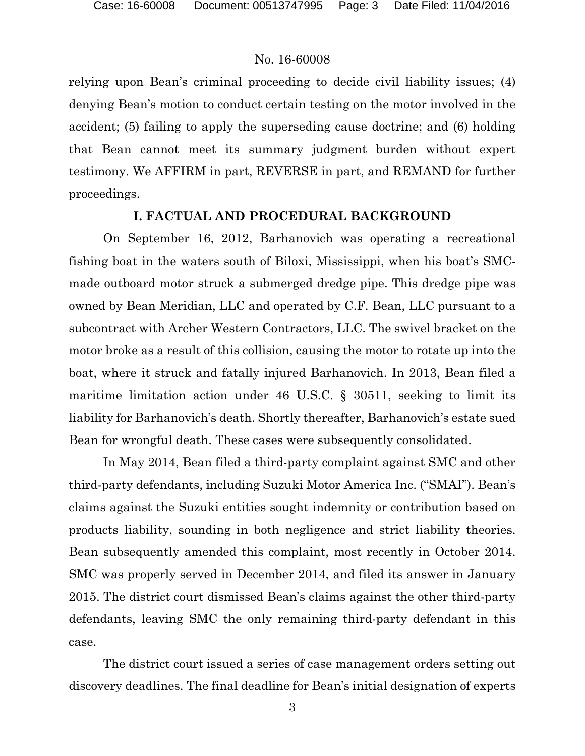relying upon Bean's criminal proceeding to decide civil liability issues; (4) denying Bean's motion to conduct certain testing on the motor involved in the accident; (5) failing to apply the superseding cause doctrine; and (6) holding that Bean cannot meet its summary judgment burden without expert testimony. We AFFIRM in part, REVERSE in part, and REMAND for further proceedings.

### **I. FACTUAL AND PROCEDURAL BACKGROUND**

On September 16, 2012, Barhanovich was operating a recreational fishing boat in the waters south of Biloxi, Mississippi, when his boat's SMCmade outboard motor struck a submerged dredge pipe. This dredge pipe was owned by Bean Meridian, LLC and operated by C.F. Bean, LLC pursuant to a subcontract with Archer Western Contractors, LLC. The swivel bracket on the motor broke as a result of this collision, causing the motor to rotate up into the boat, where it struck and fatally injured Barhanovich. In 2013, Bean filed a maritime limitation action under 46 U.S.C. § 30511, seeking to limit its liability for Barhanovich's death. Shortly thereafter, Barhanovich's estate sued Bean for wrongful death. These cases were subsequently consolidated.

In May 2014, Bean filed a third-party complaint against SMC and other third-party defendants, including Suzuki Motor America Inc. ("SMAI"). Bean's claims against the Suzuki entities sought indemnity or contribution based on products liability, sounding in both negligence and strict liability theories. Bean subsequently amended this complaint, most recently in October 2014. SMC was properly served in December 2014, and filed its answer in January 2015. The district court dismissed Bean's claims against the other third-party defendants, leaving SMC the only remaining third-party defendant in this case.

The district court issued a series of case management orders setting out discovery deadlines. The final deadline for Bean's initial designation of experts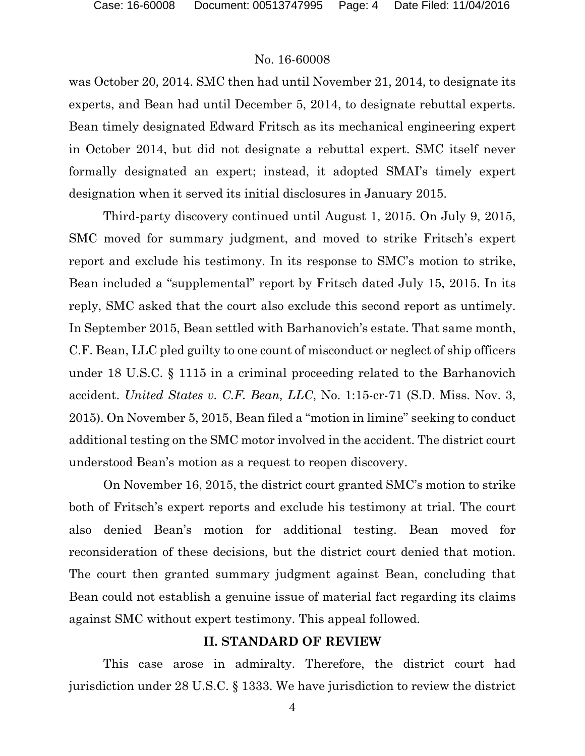was October 20, 2014. SMC then had until November 21, 2014, to designate its experts, and Bean had until December 5, 2014, to designate rebuttal experts. Bean timely designated Edward Fritsch as its mechanical engineering expert in October 2014, but did not designate a rebuttal expert. SMC itself never formally designated an expert; instead, it adopted SMAI's timely expert designation when it served its initial disclosures in January 2015.

Third-party discovery continued until August 1, 2015. On July 9, 2015, SMC moved for summary judgment, and moved to strike Fritsch's expert report and exclude his testimony. In its response to SMC's motion to strike, Bean included a "supplemental" report by Fritsch dated July 15, 2015. In its reply, SMC asked that the court also exclude this second report as untimely. In September 2015, Bean settled with Barhanovich's estate. That same month, C.F. Bean, LLC pled guilty to one count of misconduct or neglect of ship officers under 18 U.S.C. § 1115 in a criminal proceeding related to the Barhanovich accident. *United States v. C.F. Bean, LLC*, No. 1:15-cr-71 (S.D. Miss. Nov. 3, 2015). On November 5, 2015, Bean filed a "motion in limine" seeking to conduct additional testing on the SMC motor involved in the accident. The district court understood Bean's motion as a request to reopen discovery.

On November 16, 2015, the district court granted SMC's motion to strike both of Fritsch's expert reports and exclude his testimony at trial. The court also denied Bean's motion for additional testing. Bean moved for reconsideration of these decisions, but the district court denied that motion. The court then granted summary judgment against Bean, concluding that Bean could not establish a genuine issue of material fact regarding its claims against SMC without expert testimony. This appeal followed.

## **II. STANDARD OF REVIEW**

This case arose in admiralty. Therefore, the district court had jurisdiction under 28 U.S.C. § 1333. We have jurisdiction to review the district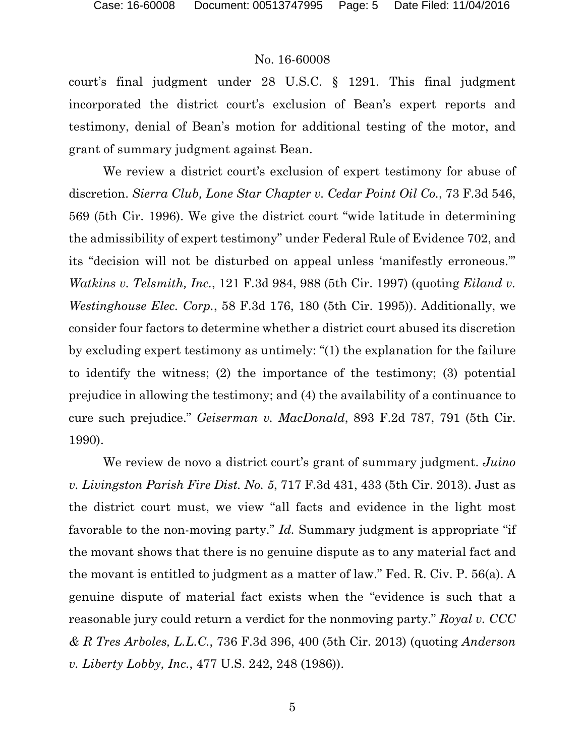court's final judgment under 28 U.S.C. § 1291. This final judgment incorporated the district court's exclusion of Bean's expert reports and testimony, denial of Bean's motion for additional testing of the motor, and grant of summary judgment against Bean.

We review a district court's exclusion of expert testimony for abuse of discretion. *Sierra Club, Lone Star Chapter v. Cedar Point Oil Co.*, 73 F.3d 546, 569 (5th Cir. 1996). We give the district court "wide latitude in determining the admissibility of expert testimony" under Federal Rule of Evidence 702, and its "decision will not be disturbed on appeal unless 'manifestly erroneous.'" *Watkins v. Telsmith, Inc.*, 121 F.3d 984, 988 (5th Cir. 1997) (quoting *Eiland v. Westinghouse Elec. Corp.*, 58 F.3d 176, 180 (5th Cir. 1995)). Additionally, we consider four factors to determine whether a district court abused its discretion by excluding expert testimony as untimely: "(1) the explanation for the failure to identify the witness; (2) the importance of the testimony; (3) potential prejudice in allowing the testimony; and (4) the availability of a continuance to cure such prejudice." *Geiserman v. MacDonald*, 893 F.2d 787, 791 (5th Cir. 1990).

We review de novo a district court's grant of summary judgment. *Juino v. Livingston Parish Fire Dist. No. 5*, 717 F.3d 431, 433 (5th Cir. 2013). Just as the district court must, we view "all facts and evidence in the light most favorable to the non-moving party." *Id.* Summary judgment is appropriate "if the movant shows that there is no genuine dispute as to any material fact and the movant is entitled to judgment as a matter of law." Fed. R. Civ. P. 56(a). A genuine dispute of material fact exists when the "evidence is such that a reasonable jury could return a verdict for the nonmoving party." *Royal v. CCC & R Tres Arboles, L.L.C.*, 736 F.3d 396, 400 (5th Cir. 2013) (quoting *Anderson v. Liberty Lobby, Inc.*, 477 U.S. 242, 248 (1986)).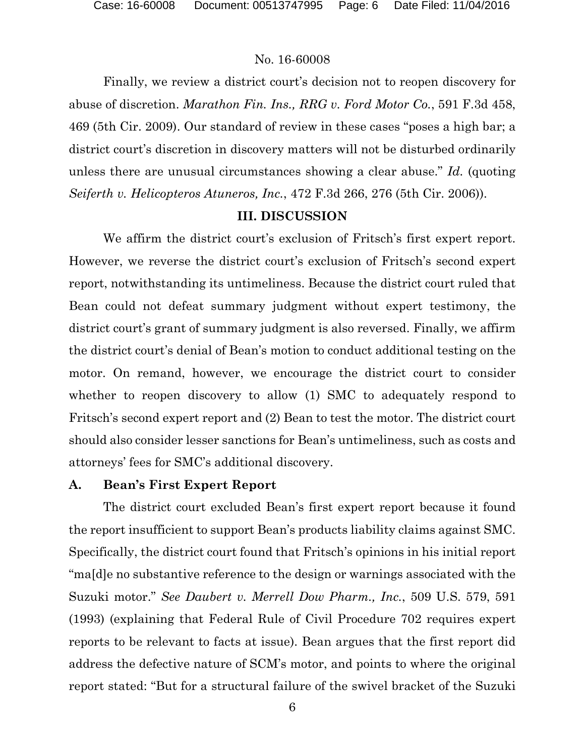Finally, we review a district court's decision not to reopen discovery for abuse of discretion. *Marathon Fin. Ins., RRG v. Ford Motor Co.*, 591 F.3d 458, 469 (5th Cir. 2009). Our standard of review in these cases "poses a high bar; a district court's discretion in discovery matters will not be disturbed ordinarily unless there are unusual circumstances showing a clear abuse." *Id.* (quoting *Seiferth v. Helicopteros Atuneros, Inc.*, 472 F.3d 266, 276 (5th Cir. 2006)).

# **III. DISCUSSION**

We affirm the district court's exclusion of Fritsch's first expert report. However, we reverse the district court's exclusion of Fritsch's second expert report, notwithstanding its untimeliness. Because the district court ruled that Bean could not defeat summary judgment without expert testimony, the district court's grant of summary judgment is also reversed. Finally, we affirm the district court's denial of Bean's motion to conduct additional testing on the motor. On remand, however, we encourage the district court to consider whether to reopen discovery to allow (1) SMC to adequately respond to Fritsch's second expert report and (2) Bean to test the motor. The district court should also consider lesser sanctions for Bean's untimeliness, such as costs and attorneys' fees for SMC's additional discovery.

# **A. Bean's First Expert Report**

The district court excluded Bean's first expert report because it found the report insufficient to support Bean's products liability claims against SMC. Specifically, the district court found that Fritsch's opinions in his initial report "ma[d]e no substantive reference to the design or warnings associated with the Suzuki motor." *See Daubert v. Merrell Dow Pharm., Inc.*, 509 U.S. 579, 591 (1993) (explaining that Federal Rule of Civil Procedure 702 requires expert reports to be relevant to facts at issue). Bean argues that the first report did address the defective nature of SCM's motor, and points to where the original report stated: "But for a structural failure of the swivel bracket of the Suzuki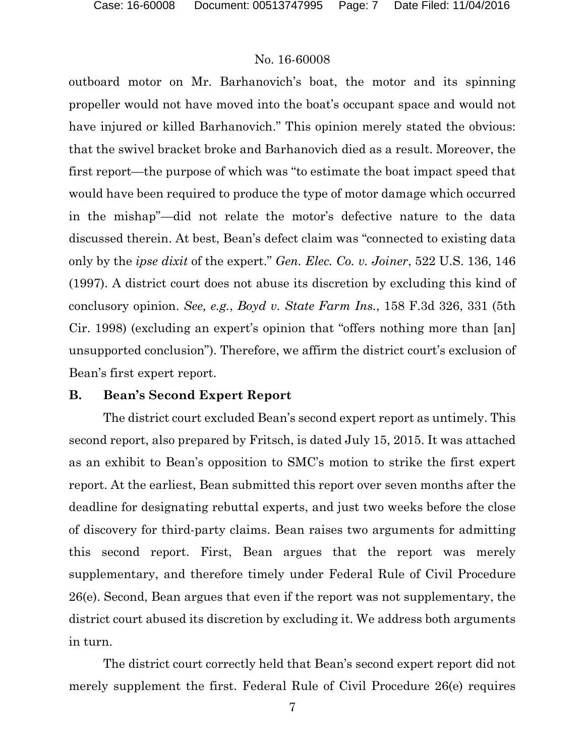outboard motor on Mr. Barhanovich's boat, the motor and its spinning propeller would not have moved into the boat's occupant space and would not have injured or killed Barhanovich." This opinion merely stated the obvious: that the swivel bracket broke and Barhanovich died as a result. Moreover, the first report—the purpose of which was "to estimate the boat impact speed that would have been required to produce the type of motor damage which occurred in the mishap"—did not relate the motor's defective nature to the data discussed therein. At best, Bean's defect claim was "connected to existing data only by the *ipse dixit* of the expert." *Gen. Elec. Co. v. Joiner*, 522 U.S. 136, 146 (1997). A district court does not abuse its discretion by excluding this kind of conclusory opinion. *See, e.g.*, *Boyd v. State Farm Ins.*, 158 F.3d 326, 331 (5th Cir. 1998) (excluding an expert's opinion that "offers nothing more than [an] unsupported conclusion"). Therefore, we affirm the district court's exclusion of Bean's first expert report.

#### **B. Bean's Second Expert Report**

The district court excluded Bean's second expert report as untimely. This second report, also prepared by Fritsch, is dated July 15, 2015. It was attached as an exhibit to Bean's opposition to SMC's motion to strike the first expert report. At the earliest, Bean submitted this report over seven months after the deadline for designating rebuttal experts, and just two weeks before the close of discovery for third-party claims. Bean raises two arguments for admitting this second report. First, Bean argues that the report was merely supplementary, and therefore timely under Federal Rule of Civil Procedure 26(e). Second, Bean argues that even if the report was not supplementary, the district court abused its discretion by excluding it. We address both arguments in turn.

The district court correctly held that Bean's second expert report did not merely supplement the first. Federal Rule of Civil Procedure 26(e) requires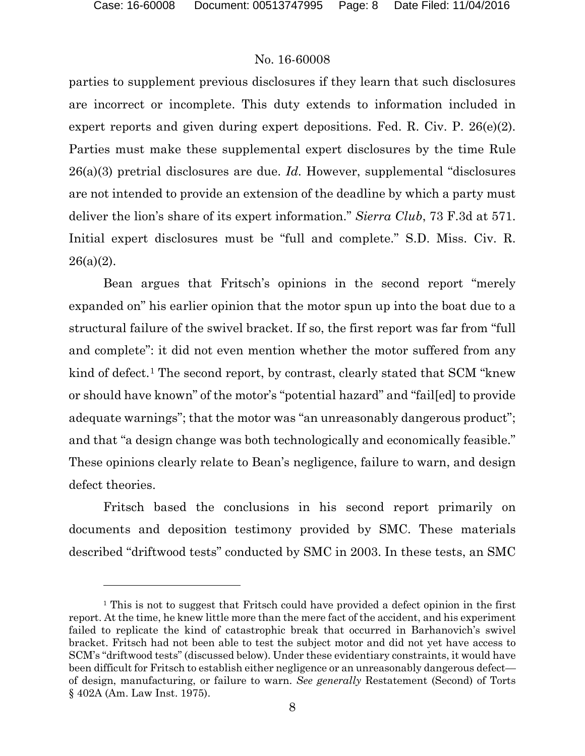$\overline{a}$ 

#### No. 16-60008

parties to supplement previous disclosures if they learn that such disclosures are incorrect or incomplete. This duty extends to information included in expert reports and given during expert depositions. Fed. R. Civ. P. 26(e)(2). Parties must make these supplemental expert disclosures by the time Rule 26(a)(3) pretrial disclosures are due. *Id.* However, supplemental "disclosures are not intended to provide an extension of the deadline by which a party must deliver the lion's share of its expert information." *Sierra Club*, 73 F.3d at 571. Initial expert disclosures must be "full and complete." S.D. Miss. Civ. R.  $26(a)(2)$ .

Bean argues that Fritsch's opinions in the second report "merely expanded on" his earlier opinion that the motor spun up into the boat due to a structural failure of the swivel bracket. If so, the first report was far from "full and complete": it did not even mention whether the motor suffered from any kind of defect.<sup>[1](#page-7-0)</sup> The second report, by contrast, clearly stated that SCM "knew" or should have known" of the motor's "potential hazard" and "fail[ed] to provide adequate warnings"; that the motor was "an unreasonably dangerous product"; and that "a design change was both technologically and economically feasible." These opinions clearly relate to Bean's negligence, failure to warn, and design defect theories.

Fritsch based the conclusions in his second report primarily on documents and deposition testimony provided by SMC. These materials described "driftwood tests" conducted by SMC in 2003. In these tests, an SMC

<span id="page-7-0"></span><sup>&</sup>lt;sup>1</sup> This is not to suggest that Fritsch could have provided a defect opinion in the first report. At the time, he knew little more than the mere fact of the accident, and his experiment failed to replicate the kind of catastrophic break that occurred in Barhanovich's swivel bracket. Fritsch had not been able to test the subject motor and did not yet have access to SCM's "driftwood tests" (discussed below). Under these evidentiary constraints, it would have been difficult for Fritsch to establish either negligence or an unreasonably dangerous defect of design, manufacturing, or failure to warn. *See generally* Restatement (Second) of Torts § 402A (Am. Law Inst. 1975).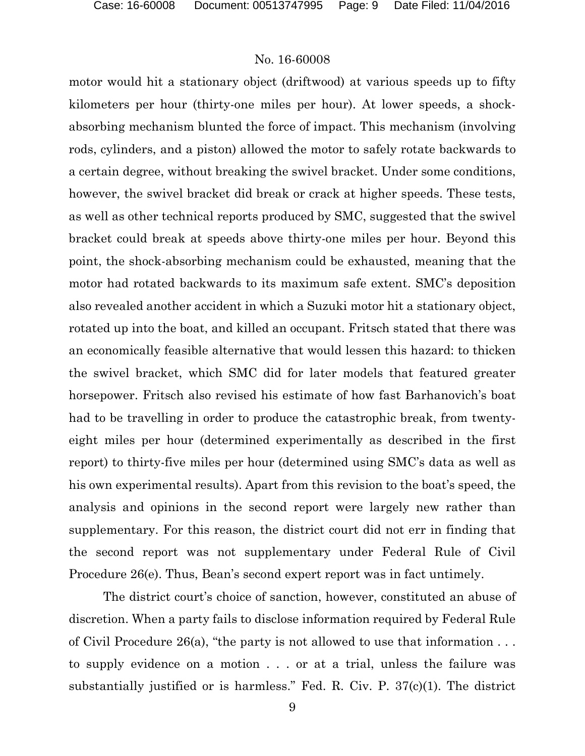motor would hit a stationary object (driftwood) at various speeds up to fifty kilometers per hour (thirty-one miles per hour). At lower speeds, a shockabsorbing mechanism blunted the force of impact. This mechanism (involving rods, cylinders, and a piston) allowed the motor to safely rotate backwards to a certain degree, without breaking the swivel bracket. Under some conditions, however, the swivel bracket did break or crack at higher speeds. These tests, as well as other technical reports produced by SMC, suggested that the swivel bracket could break at speeds above thirty-one miles per hour. Beyond this point, the shock-absorbing mechanism could be exhausted, meaning that the motor had rotated backwards to its maximum safe extent. SMC's deposition also revealed another accident in which a Suzuki motor hit a stationary object, rotated up into the boat, and killed an occupant. Fritsch stated that there was an economically feasible alternative that would lessen this hazard: to thicken the swivel bracket, which SMC did for later models that featured greater horsepower. Fritsch also revised his estimate of how fast Barhanovich's boat had to be travelling in order to produce the catastrophic break, from twentyeight miles per hour (determined experimentally as described in the first report) to thirty-five miles per hour (determined using SMC's data as well as his own experimental results). Apart from this revision to the boat's speed, the analysis and opinions in the second report were largely new rather than supplementary. For this reason, the district court did not err in finding that the second report was not supplementary under Federal Rule of Civil Procedure 26(e). Thus, Bean's second expert report was in fact untimely.

The district court's choice of sanction, however, constituted an abuse of discretion. When a party fails to disclose information required by Federal Rule of Civil Procedure 26(a), "the party is not allowed to use that information . . . to supply evidence on a motion . . . or at a trial, unless the failure was substantially justified or is harmless." Fed. R. Civ. P. 37(c)(1). The district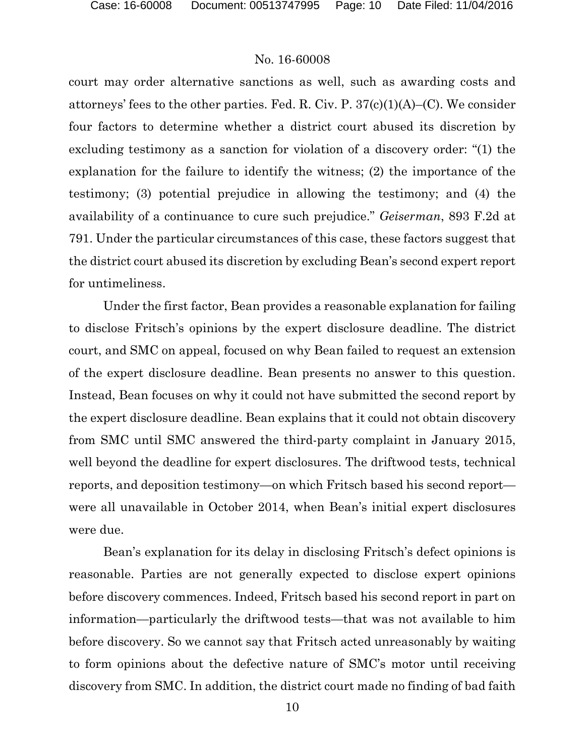court may order alternative sanctions as well, such as awarding costs and attorneys' fees to the other parties. Fed. R. Civ. P.  $37(c)(1)(A)$ –(C). We consider four factors to determine whether a district court abused its discretion by excluding testimony as a sanction for violation of a discovery order: "(1) the explanation for the failure to identify the witness; (2) the importance of the testimony; (3) potential prejudice in allowing the testimony; and (4) the availability of a continuance to cure such prejudice." *Geiserman*, 893 F.2d at 791. Under the particular circumstances of this case, these factors suggest that the district court abused its discretion by excluding Bean's second expert report for untimeliness.

Under the first factor, Bean provides a reasonable explanation for failing to disclose Fritsch's opinions by the expert disclosure deadline. The district court, and SMC on appeal, focused on why Bean failed to request an extension of the expert disclosure deadline. Bean presents no answer to this question. Instead, Bean focuses on why it could not have submitted the second report by the expert disclosure deadline. Bean explains that it could not obtain discovery from SMC until SMC answered the third-party complaint in January 2015, well beyond the deadline for expert disclosures. The driftwood tests, technical reports, and deposition testimony—on which Fritsch based his second report were all unavailable in October 2014, when Bean's initial expert disclosures were due.

Bean's explanation for its delay in disclosing Fritsch's defect opinions is reasonable. Parties are not generally expected to disclose expert opinions before discovery commences. Indeed, Fritsch based his second report in part on information—particularly the driftwood tests—that was not available to him before discovery. So we cannot say that Fritsch acted unreasonably by waiting to form opinions about the defective nature of SMC's motor until receiving discovery from SMC. In addition, the district court made no finding of bad faith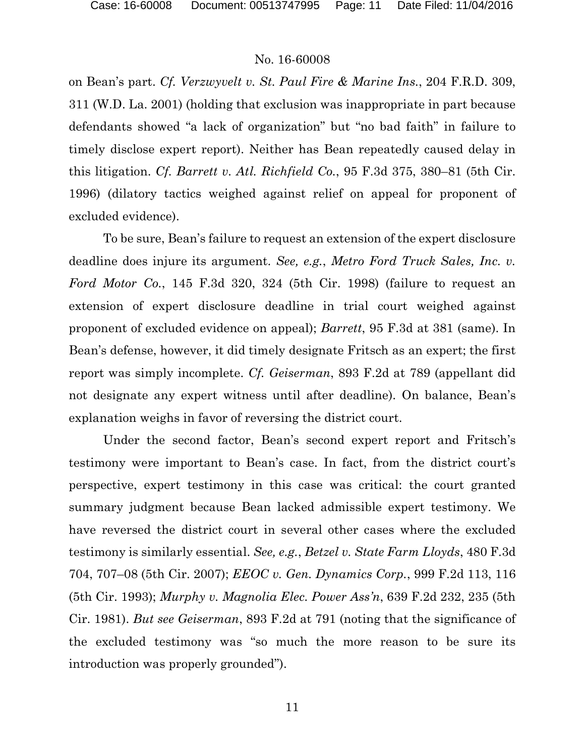on Bean's part. *Cf. Verzwyvelt v. St. Paul Fire & Marine Ins.*, 204 F.R.D. 309, 311 (W.D. La. 2001) (holding that exclusion was inappropriate in part because defendants showed "a lack of organization" but "no bad faith" in failure to timely disclose expert report). Neither has Bean repeatedly caused delay in this litigation. *Cf. Barrett v. Atl. Richfield Co.*, 95 F.3d 375, 380–81 (5th Cir. 1996) (dilatory tactics weighed against relief on appeal for proponent of excluded evidence).

To be sure, Bean's failure to request an extension of the expert disclosure deadline does injure its argument. *See, e.g.*, *Metro Ford Truck Sales, Inc. v. Ford Motor Co.*, 145 F.3d 320, 324 (5th Cir. 1998) (failure to request an extension of expert disclosure deadline in trial court weighed against proponent of excluded evidence on appeal); *Barrett*, 95 F.3d at 381 (same). In Bean's defense, however, it did timely designate Fritsch as an expert; the first report was simply incomplete. *Cf. Geiserman*, 893 F.2d at 789 (appellant did not designate any expert witness until after deadline). On balance, Bean's explanation weighs in favor of reversing the district court.

Under the second factor, Bean's second expert report and Fritsch's testimony were important to Bean's case. In fact, from the district court's perspective, expert testimony in this case was critical: the court granted summary judgment because Bean lacked admissible expert testimony. We have reversed the district court in several other cases where the excluded testimony is similarly essential. *See, e.g.*, *Betzel v. State Farm Lloyds*, 480 F.3d 704, 707–08 (5th Cir. 2007); *EEOC v. Gen. Dynamics Corp.*, 999 F.2d 113, 116 (5th Cir. 1993); *Murphy v. Magnolia Elec. Power Ass'n*, 639 F.2d 232, 235 (5th Cir. 1981). *But see Geiserman*, 893 F.2d at 791 (noting that the significance of the excluded testimony was "so much the more reason to be sure its introduction was properly grounded").

11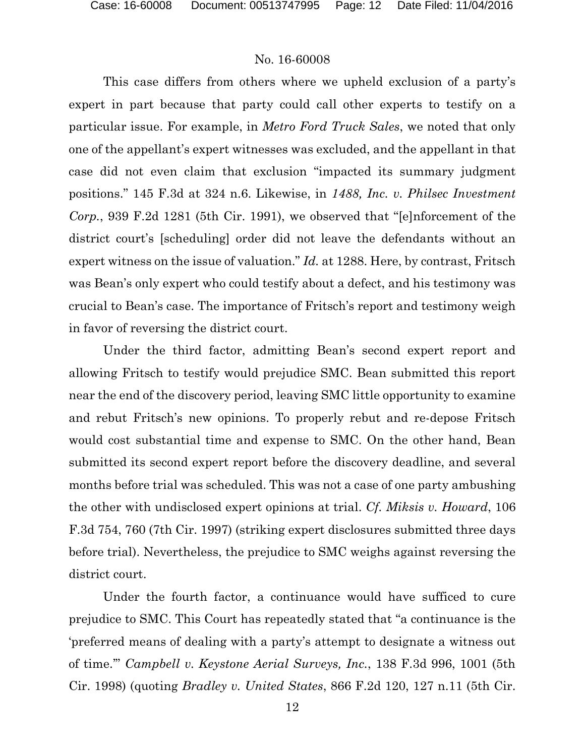This case differs from others where we upheld exclusion of a party's expert in part because that party could call other experts to testify on a particular issue. For example, in *Metro Ford Truck Sales*, we noted that only one of the appellant's expert witnesses was excluded, and the appellant in that case did not even claim that exclusion "impacted its summary judgment positions." 145 F.3d at 324 n.6. Likewise, in *1488, Inc. v. Philsec Investment Corp.*, 939 F.2d 1281 (5th Cir. 1991), we observed that "[e]nforcement of the district court's [scheduling] order did not leave the defendants without an expert witness on the issue of valuation." *Id.* at 1288. Here, by contrast, Fritsch was Bean's only expert who could testify about a defect, and his testimony was crucial to Bean's case. The importance of Fritsch's report and testimony weigh in favor of reversing the district court.

Under the third factor, admitting Bean's second expert report and allowing Fritsch to testify would prejudice SMC. Bean submitted this report near the end of the discovery period, leaving SMC little opportunity to examine and rebut Fritsch's new opinions. To properly rebut and re-depose Fritsch would cost substantial time and expense to SMC. On the other hand, Bean submitted its second expert report before the discovery deadline, and several months before trial was scheduled. This was not a case of one party ambushing the other with undisclosed expert opinions at trial. *Cf. Miksis v. Howard*, 106 F.3d 754, 760 (7th Cir. 1997) (striking expert disclosures submitted three days before trial). Nevertheless, the prejudice to SMC weighs against reversing the district court.

Under the fourth factor, a continuance would have sufficed to cure prejudice to SMC. This Court has repeatedly stated that "a continuance is the 'preferred means of dealing with a party's attempt to designate a witness out of time.'" *Campbell v. Keystone Aerial Surveys, Inc.*, 138 F.3d 996, 1001 (5th Cir. 1998) (quoting *Bradley v. United States*, 866 F.2d 120, 127 n.11 (5th Cir.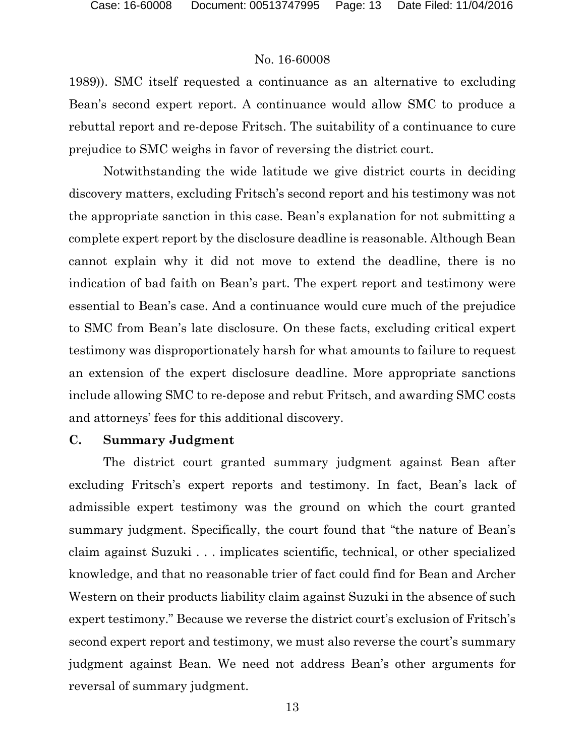1989)). SMC itself requested a continuance as an alternative to excluding Bean's second expert report. A continuance would allow SMC to produce a rebuttal report and re-depose Fritsch. The suitability of a continuance to cure prejudice to SMC weighs in favor of reversing the district court.

Notwithstanding the wide latitude we give district courts in deciding discovery matters, excluding Fritsch's second report and his testimony was not the appropriate sanction in this case. Bean's explanation for not submitting a complete expert report by the disclosure deadline is reasonable. Although Bean cannot explain why it did not move to extend the deadline, there is no indication of bad faith on Bean's part. The expert report and testimony were essential to Bean's case. And a continuance would cure much of the prejudice to SMC from Bean's late disclosure. On these facts, excluding critical expert testimony was disproportionately harsh for what amounts to failure to request an extension of the expert disclosure deadline. More appropriate sanctions include allowing SMC to re-depose and rebut Fritsch, and awarding SMC costs and attorneys' fees for this additional discovery.

#### **C. Summary Judgment**

The district court granted summary judgment against Bean after excluding Fritsch's expert reports and testimony. In fact, Bean's lack of admissible expert testimony was the ground on which the court granted summary judgment. Specifically, the court found that "the nature of Bean's claim against Suzuki . . . implicates scientific, technical, or other specialized knowledge, and that no reasonable trier of fact could find for Bean and Archer Western on their products liability claim against Suzuki in the absence of such expert testimony." Because we reverse the district court's exclusion of Fritsch's second expert report and testimony, we must also reverse the court's summary judgment against Bean. We need not address Bean's other arguments for reversal of summary judgment.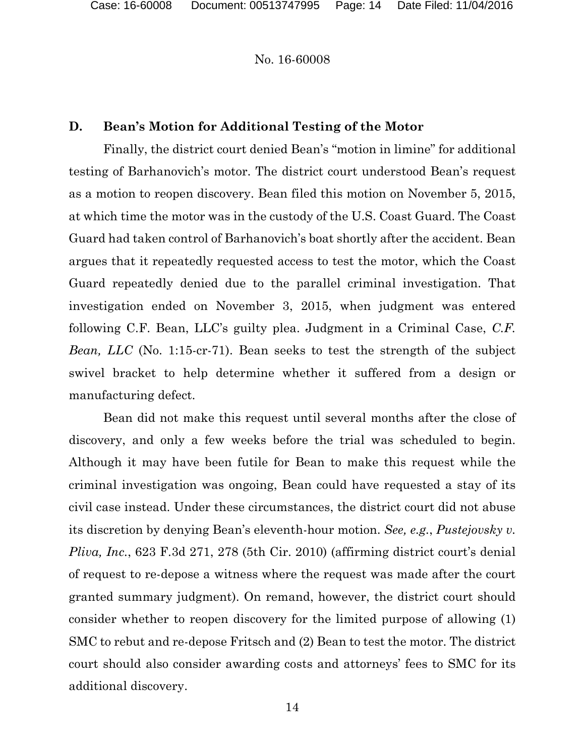# **D. Bean's Motion for Additional Testing of the Motor**

Finally, the district court denied Bean's "motion in limine" for additional testing of Barhanovich's motor. The district court understood Bean's request as a motion to reopen discovery. Bean filed this motion on November 5, 2015, at which time the motor was in the custody of the U.S. Coast Guard. The Coast Guard had taken control of Barhanovich's boat shortly after the accident. Bean argues that it repeatedly requested access to test the motor, which the Coast Guard repeatedly denied due to the parallel criminal investigation. That investigation ended on November 3, 2015, when judgment was entered following C.F. Bean, LLC's guilty plea. Judgment in a Criminal Case, *C.F. Bean, LLC* (No. 1:15-cr-71). Bean seeks to test the strength of the subject swivel bracket to help determine whether it suffered from a design or manufacturing defect.

Bean did not make this request until several months after the close of discovery, and only a few weeks before the trial was scheduled to begin. Although it may have been futile for Bean to make this request while the criminal investigation was ongoing, Bean could have requested a stay of its civil case instead. Under these circumstances, the district court did not abuse its discretion by denying Bean's eleventh-hour motion. *See, e.g.*, *Pustejovsky v. Pliva, Inc.*, 623 F.3d 271, 278 (5th Cir. 2010) (affirming district court's denial of request to re-depose a witness where the request was made after the court granted summary judgment). On remand, however, the district court should consider whether to reopen discovery for the limited purpose of allowing (1) SMC to rebut and re-depose Fritsch and (2) Bean to test the motor. The district court should also consider awarding costs and attorneys' fees to SMC for its additional discovery.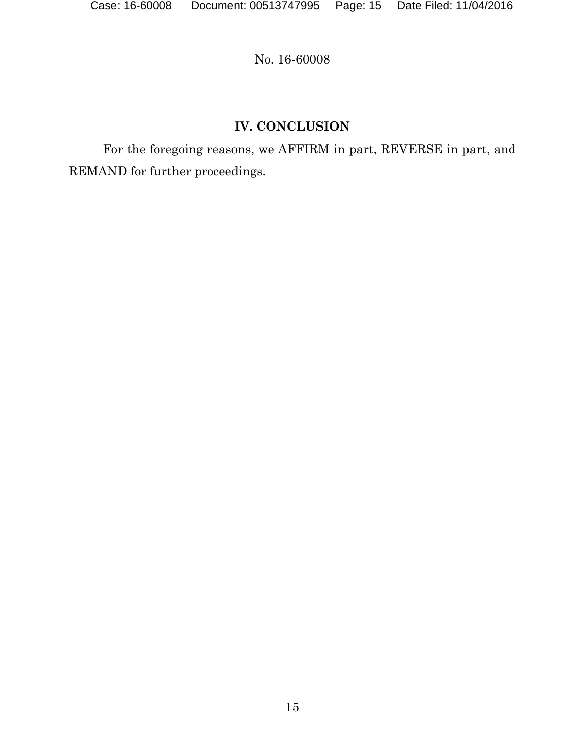# **IV. CONCLUSION**

For the foregoing reasons, we AFFIRM in part, REVERSE in part, and REMAND for further proceedings.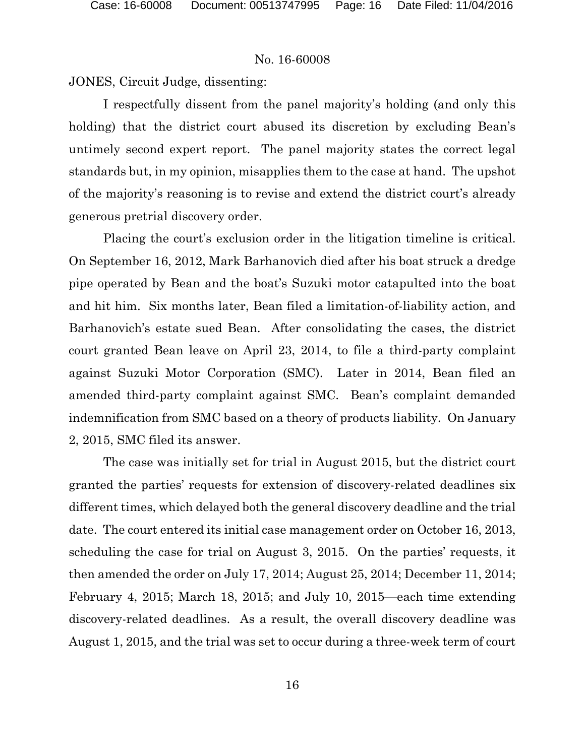JONES, Circuit Judge, dissenting:

I respectfully dissent from the panel majority's holding (and only this holding) that the district court abused its discretion by excluding Bean's untimely second expert report. The panel majority states the correct legal standards but, in my opinion, misapplies them to the case at hand. The upshot of the majority's reasoning is to revise and extend the district court's already generous pretrial discovery order.

Placing the court's exclusion order in the litigation timeline is critical. On September 16, 2012, Mark Barhanovich died after his boat struck a dredge pipe operated by Bean and the boat's Suzuki motor catapulted into the boat and hit him. Six months later, Bean filed a limitation-of-liability action, and Barhanovich's estate sued Bean. After consolidating the cases, the district court granted Bean leave on April 23, 2014, to file a third-party complaint against Suzuki Motor Corporation (SMC). Later in 2014, Bean filed an amended third-party complaint against SMC. Bean's complaint demanded indemnification from SMC based on a theory of products liability. On January 2, 2015, SMC filed its answer.

The case was initially set for trial in August 2015, but the district court granted the parties' requests for extension of discovery-related deadlines six different times, which delayed both the general discovery deadline and the trial date. The court entered its initial case management order on October 16, 2013, scheduling the case for trial on August 3, 2015. On the parties' requests, it then amended the order on July 17, 2014; August 25, 2014; December 11, 2014; February 4, 2015; March 18, 2015; and July 10, 2015—each time extending discovery-related deadlines. As a result, the overall discovery deadline was August 1, 2015, and the trial was set to occur during a three-week term of court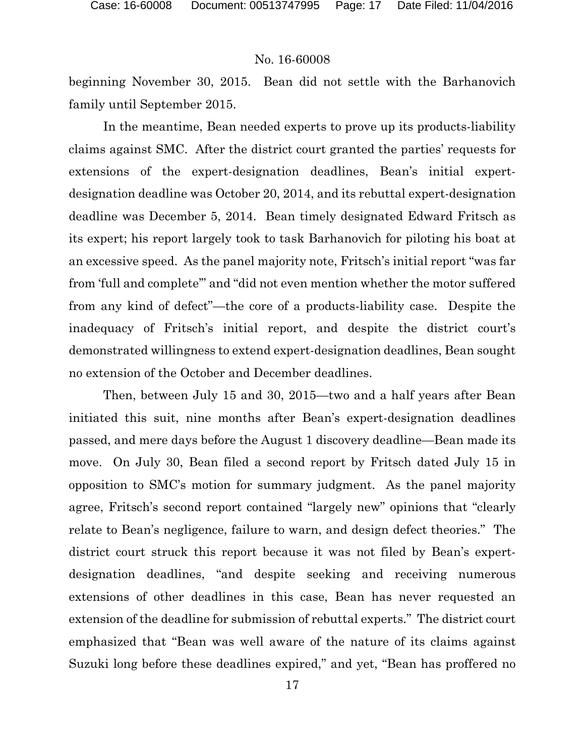beginning November 30, 2015. Bean did not settle with the Barhanovich family until September 2015.

In the meantime, Bean needed experts to prove up its products-liability claims against SMC. After the district court granted the parties' requests for extensions of the expert-designation deadlines, Bean's initial expertdesignation deadline was October 20, 2014, and its rebuttal expert-designation deadline was December 5, 2014. Bean timely designated Edward Fritsch as its expert; his report largely took to task Barhanovich for piloting his boat at an excessive speed. As the panel majority note, Fritsch's initial report "was far from 'full and complete'" and "did not even mention whether the motor suffered from any kind of defect"—the core of a products-liability case. Despite the inadequacy of Fritsch's initial report, and despite the district court's demonstrated willingness to extend expert-designation deadlines, Bean sought no extension of the October and December deadlines.

Then, between July 15 and 30, 2015—two and a half years after Bean initiated this suit, nine months after Bean's expert-designation deadlines passed, and mere days before the August 1 discovery deadline—Bean made its move. On July 30, Bean filed a second report by Fritsch dated July 15 in opposition to SMC's motion for summary judgment. As the panel majority agree, Fritsch's second report contained "largely new" opinions that "clearly relate to Bean's negligence, failure to warn, and design defect theories." The district court struck this report because it was not filed by Bean's expertdesignation deadlines, "and despite seeking and receiving numerous extensions of other deadlines in this case, Bean has never requested an extension of the deadline for submission of rebuttal experts." The district court emphasized that "Bean was well aware of the nature of its claims against Suzuki long before these deadlines expired," and yet, "Bean has proffered no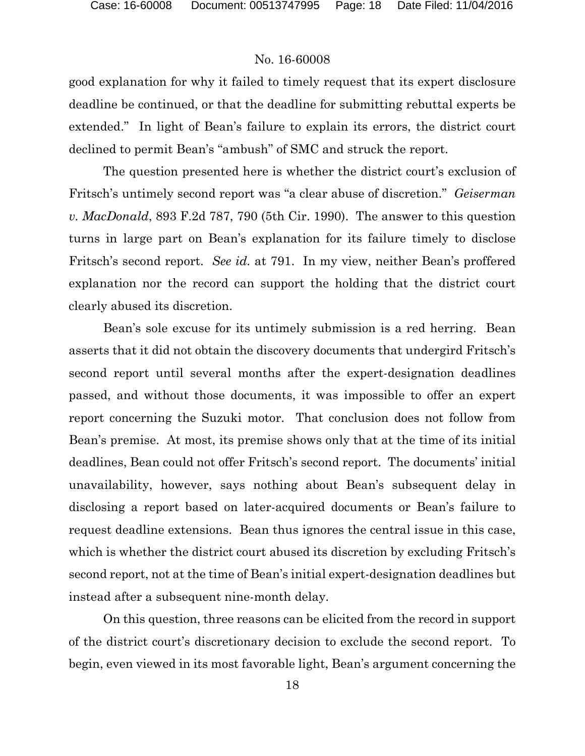good explanation for why it failed to timely request that its expert disclosure deadline be continued, or that the deadline for submitting rebuttal experts be extended." In light of Bean's failure to explain its errors, the district court declined to permit Bean's "ambush" of SMC and struck the report.

The question presented here is whether the district court's exclusion of Fritsch's untimely second report was "a clear abuse of discretion." *Geiserman v. MacDonald*, 893 F.2d 787, 790 (5th Cir. 1990). The answer to this question turns in large part on Bean's explanation for its failure timely to disclose Fritsch's second report. *See id.* at 791. In my view, neither Bean's proffered explanation nor the record can support the holding that the district court clearly abused its discretion.

Bean's sole excuse for its untimely submission is a red herring. Bean asserts that it did not obtain the discovery documents that undergird Fritsch's second report until several months after the expert-designation deadlines passed, and without those documents, it was impossible to offer an expert report concerning the Suzuki motor. That conclusion does not follow from Bean's premise. At most, its premise shows only that at the time of its initial deadlines, Bean could not offer Fritsch's second report. The documents' initial unavailability, however, says nothing about Bean's subsequent delay in disclosing a report based on later-acquired documents or Bean's failure to request deadline extensions. Bean thus ignores the central issue in this case, which is whether the district court abused its discretion by excluding Fritsch's second report, not at the time of Bean's initial expert-designation deadlines but instead after a subsequent nine-month delay.

On this question, three reasons can be elicited from the record in support of the district court's discretionary decision to exclude the second report. To begin, even viewed in its most favorable light, Bean's argument concerning the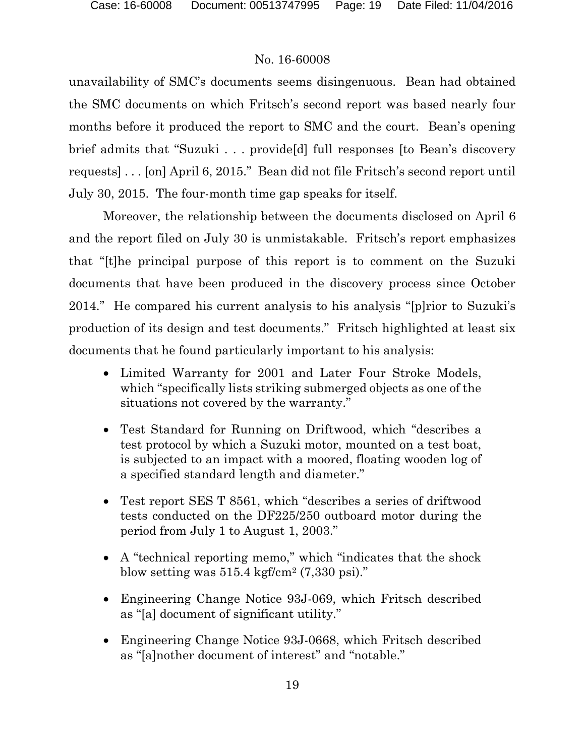unavailability of SMC's documents seems disingenuous. Bean had obtained the SMC documents on which Fritsch's second report was based nearly four months before it produced the report to SMC and the court. Bean's opening brief admits that "Suzuki . . . provide[d] full responses [to Bean's discovery requests] . . . [on] April 6, 2015." Bean did not file Fritsch's second report until July 30, 2015. The four-month time gap speaks for itself.

Moreover, the relationship between the documents disclosed on April 6 and the report filed on July 30 is unmistakable. Fritsch's report emphasizes that "[t]he principal purpose of this report is to comment on the Suzuki documents that have been produced in the discovery process since October 2014." He compared his current analysis to his analysis "[p]rior to Suzuki's production of its design and test documents." Fritsch highlighted at least six documents that he found particularly important to his analysis:

- Limited Warranty for 2001 and Later Four Stroke Models, which "specifically lists striking submerged objects as one of the situations not covered by the warranty."
- Test Standard for Running on Driftwood, which "describes a test protocol by which a Suzuki motor, mounted on a test boat, is subjected to an impact with a moored, floating wooden log of a specified standard length and diameter."
- Test report SES T 8561, which "describes a series of driftwood tests conducted on the DF225/250 outboard motor during the period from July 1 to August 1, 2003."
- A "technical reporting memo," which "indicates that the shock blow setting was  $515.4 \text{ kgf/cm}^2$  (7,330 psi)."
- Engineering Change Notice 93J-069, which Fritsch described as "[a] document of significant utility."
- Engineering Change Notice 93J-0668, which Fritsch described as "[a]nother document of interest" and "notable."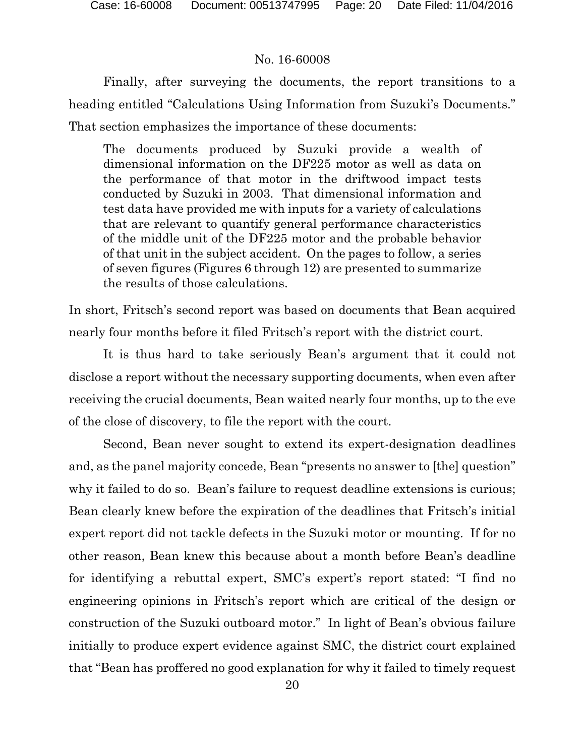Finally, after surveying the documents, the report transitions to a heading entitled "Calculations Using Information from Suzuki's Documents." That section emphasizes the importance of these documents:

The documents produced by Suzuki provide a wealth of dimensional information on the DF225 motor as well as data on the performance of that motor in the driftwood impact tests conducted by Suzuki in 2003. That dimensional information and test data have provided me with inputs for a variety of calculations that are relevant to quantify general performance characteristics of the middle unit of the DF225 motor and the probable behavior of that unit in the subject accident. On the pages to follow, a series of seven figures (Figures 6 through 12) are presented to summarize the results of those calculations.

In short, Fritsch's second report was based on documents that Bean acquired nearly four months before it filed Fritsch's report with the district court.

It is thus hard to take seriously Bean's argument that it could not disclose a report without the necessary supporting documents, when even after receiving the crucial documents, Bean waited nearly four months, up to the eve of the close of discovery, to file the report with the court.

Second, Bean never sought to extend its expert-designation deadlines and, as the panel majority concede, Bean "presents no answer to [the] question" why it failed to do so. Bean's failure to request deadline extensions is curious; Bean clearly knew before the expiration of the deadlines that Fritsch's initial expert report did not tackle defects in the Suzuki motor or mounting. If for no other reason, Bean knew this because about a month before Bean's deadline for identifying a rebuttal expert, SMC's expert's report stated: "I find no engineering opinions in Fritsch's report which are critical of the design or construction of the Suzuki outboard motor." In light of Bean's obvious failure initially to produce expert evidence against SMC, the district court explained that "Bean has proffered no good explanation for why it failed to timely request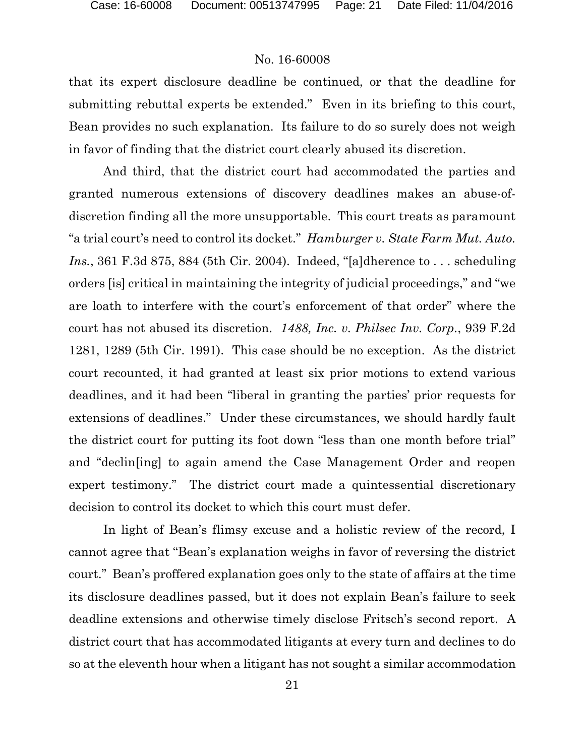that its expert disclosure deadline be continued, or that the deadline for submitting rebuttal experts be extended."Even in its briefing to this court, Bean provides no such explanation. Its failure to do so surely does not weigh in favor of finding that the district court clearly abused its discretion.

And third, that the district court had accommodated the parties and granted numerous extensions of discovery deadlines makes an abuse-ofdiscretion finding all the more unsupportable. This court treats as paramount "a trial court's need to control its docket." *Hamburger v. State Farm Mut. Auto. Ins.*, 361 F.3d 875, 884 (5th Cir. 2004). Indeed, "[a]dherence to . . . scheduling orders [is] critical in maintaining the integrity of judicial proceedings," and "we are loath to interfere with the court's enforcement of that order" where the court has not abused its discretion. *1488, Inc. v. Philsec Inv. Corp.*, 939 F.2d 1281, 1289 (5th Cir. 1991). This case should be no exception. As the district court recounted, it had granted at least six prior motions to extend various deadlines, and it had been "liberal in granting the parties' prior requests for extensions of deadlines." Under these circumstances, we should hardly fault the district court for putting its foot down "less than one month before trial" and "declin[ing] to again amend the Case Management Order and reopen expert testimony." The district court made a quintessential discretionary decision to control its docket to which this court must defer.

In light of Bean's flimsy excuse and a holistic review of the record, I cannot agree that "Bean's explanation weighs in favor of reversing the district court." Bean's proffered explanation goes only to the state of affairs at the time its disclosure deadlines passed, but it does not explain Bean's failure to seek deadline extensions and otherwise timely disclose Fritsch's second report. A district court that has accommodated litigants at every turn and declines to do so at the eleventh hour when a litigant has not sought a similar accommodation